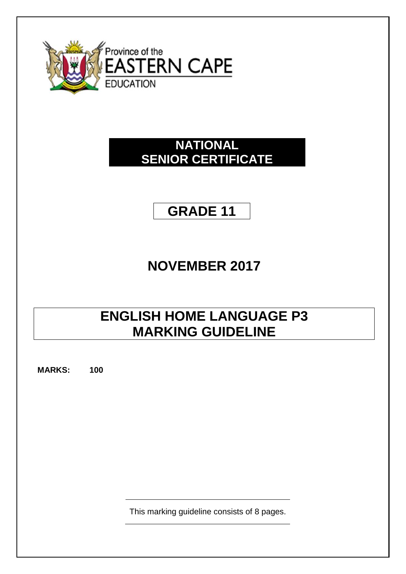

## **NATIONAL SENIOR CERTIFICATE**

# **GRADE 11**

# **NOVEMBER 2017**

## **ENGLISH HOME LANGUAGE P3 MARKING GUIDELINE**

**MARKS: 100**

This marking guideline consists of 8 pages.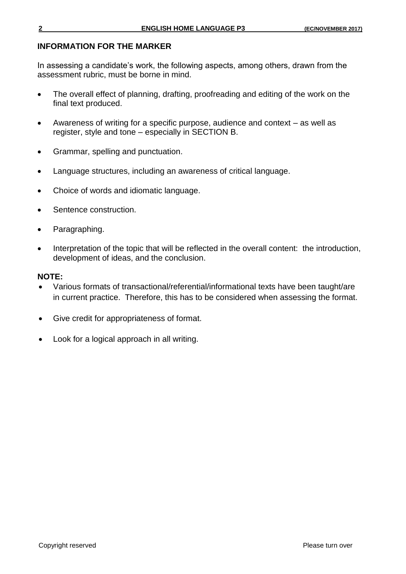#### **INFORMATION FOR THE MARKER**

In assessing a candidate's work, the following aspects, among others, drawn from the assessment rubric, must be borne in mind.

- The overall effect of planning, drafting, proofreading and editing of the work on the final text produced.
- Awareness of writing for a specific purpose, audience and context as well as register, style and tone – especially in SECTION B.
- Grammar, spelling and punctuation.
- Language structures, including an awareness of critical language.
- Choice of words and idiomatic language.
- Sentence construction.
- Paragraphing.
- Interpretation of the topic that will be reflected in the overall content: the introduction, development of ideas, and the conclusion.

#### **NOTE:**

- Various formats of transactional/referential/informational texts have been taught/are in current practice. Therefore, this has to be considered when assessing the format.
- Give credit for appropriateness of format.
- Look for a logical approach in all writing.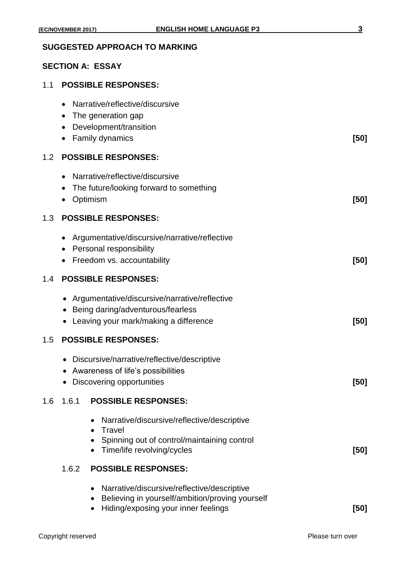#### **SUGGESTED APPROACH TO MARKING**

## **SECTION A: ESSAY**

|  |  | 1.1 POSSIBLE RESPONSES: |
|--|--|-------------------------|
|--|--|-------------------------|

|     | Narrative/reflective/discursive<br>The generation gap                                                                                           |      |  |  |
|-----|-------------------------------------------------------------------------------------------------------------------------------------------------|------|--|--|
|     | Development/transition<br>Family dynamics                                                                                                       | [50] |  |  |
| 1.2 | <b>POSSIBLE RESPONSES:</b>                                                                                                                      |      |  |  |
|     | Narrative/reflective/discursive<br>$\bullet$<br>The future/looking forward to something<br>Optimism                                             | [50] |  |  |
| 1.3 | <b>POSSIBLE RESPONSES:</b>                                                                                                                      |      |  |  |
|     | Argumentative/discursive/narrative/reflective<br>$\bullet$<br><b>Personal responsibility</b><br>Freedom vs. accountability                      | [50] |  |  |
| 1.4 | <b>POSSIBLE RESPONSES:</b>                                                                                                                      |      |  |  |
|     | • Argumentative/discursive/narrative/reflective<br>Being daring/adventurous/fearless<br>Leaving your mark/making a difference                   | [50] |  |  |
| 1.5 | <b>POSSIBLE RESPONSES:</b>                                                                                                                      |      |  |  |
|     | Discursive/narrative/reflective/descriptive<br>$\bullet$<br>Awareness of life's possibilities<br>Discovering opportunities                      | [50] |  |  |
| 1.6 | 1.6.1<br><b>POSSIBLE RESPONSES:</b>                                                                                                             |      |  |  |
|     | Narrative/discursive/reflective/descriptive<br>Travel<br>$\bullet$<br>Spinning out of control/maintaining control<br>Time/life revolving/cycles | [50] |  |  |
|     | 1.6.2<br><b>POSSIBLE RESPONSES:</b>                                                                                                             |      |  |  |
|     | Narrative/discursive/reflective/descriptive<br>Believing in yourself/ambition/proving yourself                                                  |      |  |  |

Hiding/exposing your inner feelings **[50]**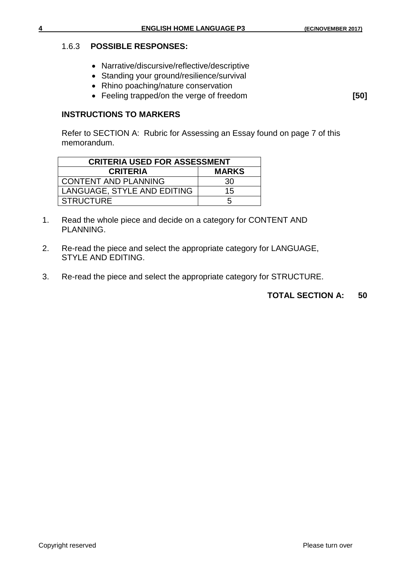#### 1.6.3 **POSSIBLE RESPONSES:**

- Narrative/discursive/reflective/descriptive
- Standing your ground/resilience/survival
- Rhino poaching/nature conservation
- Feeling trapped/on the verge of freedom **[50]**

#### **INSTRUCTIONS TO MARKERS**

Refer to SECTION A: Rubric for Assessing an Essay found on page 7 of this memorandum.

| <b>CRITERIA USED FOR ASSESSMENT</b> |              |  |  |  |  |
|-------------------------------------|--------------|--|--|--|--|
| <b>CRITERIA</b>                     | <b>MARKS</b> |  |  |  |  |
| <b>CONTENT AND PLANNING</b>         | 30           |  |  |  |  |
| LANGUAGE, STYLE AND EDITING         | 15           |  |  |  |  |
| <b>STRUCTURE</b>                    |              |  |  |  |  |

- 1. Read the whole piece and decide on a category for CONTENT AND PLANNING.
- 2. Re-read the piece and select the appropriate category for LANGUAGE, STYLE AND EDITING.
- 3. Re-read the piece and select the appropriate category for STRUCTURE.

**TOTAL SECTION A: 50**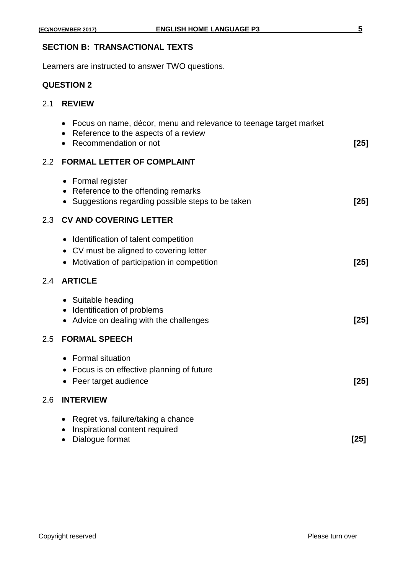#### **SECTION B: TRANSACTIONAL TEXTS**

Learners are instructed to answer TWO questions.

### **QUESTION 2**

#### 2.1 **REVIEW**

|     | Focus on name, décor, menu and relevance to teenage target market<br>Reference to the aspects of a review<br>Recommendation or not | $[25]$ |
|-----|------------------------------------------------------------------------------------------------------------------------------------|--------|
| 2.2 | <b>FORMAL LETTER OF COMPLAINT</b>                                                                                                  |        |
|     | • Formal register<br>• Reference to the offending remarks<br>• Suggestions regarding possible steps to be taken                    | $[25]$ |
| 2.3 | <b>CV AND COVERING LETTER</b>                                                                                                      |        |
|     | Identification of talent competition<br>• CV must be aligned to covering letter<br>Motivation of participation in competition      | $[25]$ |
| 2.4 | <b>ARTICLE</b>                                                                                                                     |        |
|     | • Suitable heading<br>• Identification of problems<br>• Advice on dealing with the challenges                                      | $[25]$ |
| 2.5 | <b>FORMAL SPEECH</b>                                                                                                               |        |
|     | • Formal situation<br>Focus is on effective planning of future<br>• Peer target audience                                           | $[25]$ |
| 2.6 | <b>INTERVIEW</b>                                                                                                                   |        |
|     | Regret vs. failure/taking a chance<br>$\bullet$<br>Inspirational content required<br>Dialogue format                               | [25]   |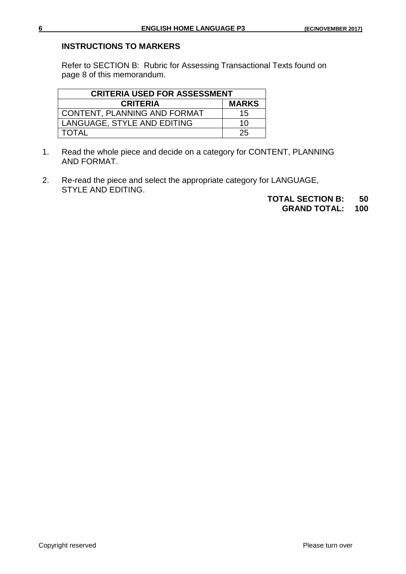#### **INSTRUCTIONS TO MARKERS**

Refer to SECTION B: Rubric for Assessing Transactional Texts found on page 8 of this memorandum.

| <b>CRITERIA USED FOR ASSESSMENT</b> |              |  |  |  |
|-------------------------------------|--------------|--|--|--|
| <b>CRITERIA</b>                     | <b>MARKS</b> |  |  |  |
| <b>CONTENT, PLANNING AND FORMAT</b> | 15           |  |  |  |
| LANGUAGE, STYLE AND EDITING         | 10           |  |  |  |
| <b>TOTAL</b>                        | 25           |  |  |  |

- 1. Read the whole piece and decide on a category for CONTENT, PLANNING AND FORMAT.
- 2. Re-read the piece and select the appropriate category for LANGUAGE, STYLE AND EDITING.
	- **TOTAL SECTION B: 50**

**GRAND TOTAL:**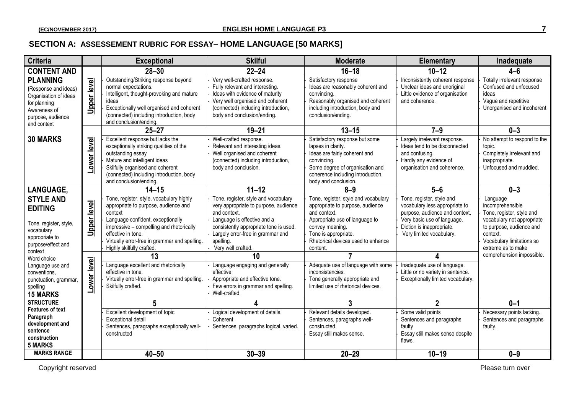### **SECTION A: ASSESSEMENT RUBRIC FOR ESSAY– HOME LANGUAGE [50 MARKS]**

| <b>Criteria</b>                                                                                                                      |                    | <b>Exceptional</b>                                                                                                                                                                                                                         | <b>Skilful</b>                                                                                                                                                                                              | <b>Moderate</b>                                                                                                                                                                                      | Elementary                                                                                                                                                | Inadequate                                                                                                           |
|--------------------------------------------------------------------------------------------------------------------------------------|--------------------|--------------------------------------------------------------------------------------------------------------------------------------------------------------------------------------------------------------------------------------------|-------------------------------------------------------------------------------------------------------------------------------------------------------------------------------------------------------------|------------------------------------------------------------------------------------------------------------------------------------------------------------------------------------------------------|-----------------------------------------------------------------------------------------------------------------------------------------------------------|----------------------------------------------------------------------------------------------------------------------|
| <b>CONTENT AND</b>                                                                                                                   |                    | $28 - 30$                                                                                                                                                                                                                                  | $22 - 24$                                                                                                                                                                                                   | $16 - 18$                                                                                                                                                                                            | $10 - 12$                                                                                                                                                 | $4 - 6$                                                                                                              |
| <b>PLANNING</b><br>(Response and ideas)<br>Organisation of ideas<br>for planning<br>Awareness of<br>purpose, audience<br>and context | <u>Upper level</u> | Outstanding/Striking response beyond<br>normal expectations.<br>Intelligent, thought-provoking and mature<br>ideas<br>Exceptionally well organised and coherent<br>(connected) including introduction, body<br>and conclusion/ending.      | Very well-crafted response.<br>Fully relevant and interesting.<br>Ideas with evidence of maturity<br>Very well organised and coherent<br>(connected) including introduction,<br>body and conclusion/ending. | Satisfactory response<br>Ideas are reasonably coherent and<br>convincing.<br>Reasonably organised and coherent<br>including introduction, body and<br>conclusion/ending.                             | Inconsistently coherent response<br>Unclear ideas and unoriginal<br>Little evidence of organisation<br>and coherence.                                     | Totally irrelevant response<br>Confused and unfocused<br>ideas<br>Vague and repetitive<br>Unorganised and incoherent |
|                                                                                                                                      |                    | $25 - 27$                                                                                                                                                                                                                                  | $19 - 21$                                                                                                                                                                                                   | $13 - 15$                                                                                                                                                                                            | $7-9$                                                                                                                                                     | $0 - 3$                                                                                                              |
| <b>30 MARKS</b>                                                                                                                      | Lower level        | Excellent response but lacks the<br>exceptionally striking qualities of the<br>outstanding essay<br>Mature and intelligent ideas<br>Skilfully organised and coherent<br>(connected) including introduction, body<br>and conclusion/ending. | Well-crafted response.<br>Relevant and interesting ideas.<br>Well organised and coherent<br>(connected) including introduction,<br>body and conclusion.                                                     | Satisfactory response but some<br>lapses in clarity.<br>Ideas are fairly coherent and<br>convincing.<br>Some degree of organisation and<br>coherence including introduction,<br>body and conclusion. | Largely irrelevant response.<br>Ideas tend to be disconnected<br>and confusing.<br>Hardly any evidence of<br>organisation and coherence.                  | No attempt to respond to the<br>topic.<br>Completely irrelevant and<br>inappropriate.<br>Unfocused and muddled.      |
| <b>LANGUAGE,</b>                                                                                                                     |                    | $14 - 15$                                                                                                                                                                                                                                  | $11 - 12$                                                                                                                                                                                                   | $8 - 9$                                                                                                                                                                                              | $5-6$                                                                                                                                                     | $0 - 3$                                                                                                              |
| <b>STYLE AND</b><br><b>EDITING</b><br>Tone, register, style,                                                                         | <b>Upper level</b> | Tone, register, style, vocabulary highly<br>appropriate to purpose, audience and<br>context<br>Language confident, exceptionally<br>impressive - compelling and rhetorically                                                               | Tone, register, style and vocabulary<br>very appropriate to purpose, audience<br>and context.<br>Language is effective and a<br>consistently appropriate tone is used.                                      | Tone, register, style and vocabulary<br>appropriate to purpose, audience<br>and context.<br>Appropriate use of language to<br>convey meaning.                                                        | Tone, register, style and<br>vocabulary less appropriate to<br>purpose, audience and context.<br>Very basic use of language.<br>Diction is inappropriate. | Language<br>incomprehensible<br>Tone, register, style and<br>vocabulary not appropriate<br>to purpose, audience and  |
| vocabulary<br>appropriate to<br>purpose/effect and<br>context                                                                        |                    | effective in tone.<br>Virtually error-free in grammar and spelling.<br>Highly skilfully crafted.                                                                                                                                           | Largely error-free in grammar and<br>spelling.<br>Very well crafted.                                                                                                                                        | Tone is appropriate.<br>Rhetorical devices used to enhance<br>content.                                                                                                                               | Very limited vocabulary.                                                                                                                                  | context.<br>Vocabulary limitations so<br>extreme as to make                                                          |
| Word choice                                                                                                                          |                    | 13                                                                                                                                                                                                                                         | 10                                                                                                                                                                                                          | 7                                                                                                                                                                                                    |                                                                                                                                                           | comprehension impossible.                                                                                            |
| Language use and<br>conventions.<br>punctuation, grammar,<br>spelling<br><b>15 MARKS</b>                                             | Lower level        | Language excellent and rhetorically<br>effective in tone.<br>Virtually error-free in grammar and spelling.<br>Skilfully crafted.                                                                                                           | Language engaging and generally<br>effective<br>Appropriate and effective tone.<br>Few errors in grammar and spelling.<br>Well-crafted                                                                      | Adequate use of language with some<br>inconsistencies.<br>Tone generally appropriate and<br>limited use of rhetorical devices.                                                                       | Inadequate use of language.<br>Little or no variety in sentence.<br>Exceptionally limited vocabulary.                                                     |                                                                                                                      |
| <b>STRUCTURE</b>                                                                                                                     |                    | 5                                                                                                                                                                                                                                          |                                                                                                                                                                                                             | $\overline{3}$                                                                                                                                                                                       | $\overline{2}$                                                                                                                                            | $0 - 1$                                                                                                              |
| <b>Features of text</b><br>Paragraph<br>development and<br>sentence<br>construction<br><b>5 MARKS</b>                                |                    | Excellent development of topic<br>Exceptional detail<br>Sentences, paragraphs exceptionally well-<br>constructed                                                                                                                           | Logical development of details.<br>Coherent<br>Sentences, paragraphs logical, varied.                                                                                                                       | Relevant details developed.<br>Sentences, paragraphs well-<br>constructed.<br>Essay still makes sense.                                                                                               | Some valid points<br>Sentences and paragraphs<br>faulty<br>Essay still makes sense despite<br>flaws.                                                      | Necessary points lacking.<br>Sentences and paragraphs<br>faulty.                                                     |
| <b>MARKS RANGE</b>                                                                                                                   |                    | $40 - 50$                                                                                                                                                                                                                                  | $30 - 39$                                                                                                                                                                                                   | $20 - 29$                                                                                                                                                                                            | $10 - 19$                                                                                                                                                 | $0 - 9$                                                                                                              |

Copyright reserved Please turn over